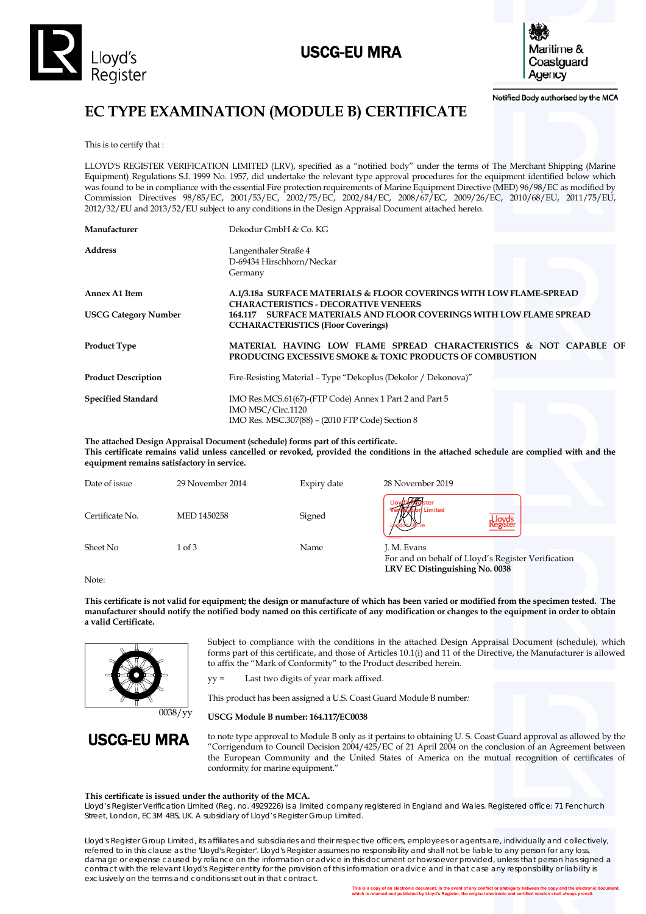

# USCG-EU MRA



Notified Body authorised by the MCA

# **EC TYPE EXAMINATION (MODULE B) CERTIFICATE**

This is to certify that :

LLOYD'S REGISTER VERIFICATION LIMITED (LRV), specified as a "notified body" under the terms of The Merchant Shipping (Marine Equipment) Regulations S.I. 1999 No. 1957, did undertake the relevant type approval procedures for the equipment identified below which was found to be in compliance with the essential Fire protection requirements of Marine Equipment Directive (MED) 96/98/EC as modified by Commission Directives 98/85/EC, 2001/53/EC, 2002/75/EC, 2002/84/EC, 2008/67/EC, 2009/26/EC, 2010/68/EU, 2011/75/EU, 2012/32/EU and 2013/52/EU subject to any conditions in the Design Appraisal Document attached hereto.

| Manufacturer                | Dekodur GmbH & Co. KG                                                                                                            |  |  |
|-----------------------------|----------------------------------------------------------------------------------------------------------------------------------|--|--|
| <b>Address</b>              | Langenthaler Straße 4<br>D-69434 Hirschhorn/Neckar<br>Germany                                                                    |  |  |
| <b>Annex A1 Item</b>        | A.1/3.18a SURFACE MATERIALS & FLOOR COVERINGS WITH LOW FLAME-SPREAD<br><b>CHARACTERISTICS - DECORATIVE VENEERS</b>               |  |  |
| <b>USCG Category Number</b> | <b>SURFACE MATERIALS AND FLOOR COVERINGS WITH LOW FLAME SPREAD</b><br>164.117<br><b>CCHARACTERISTICS (Floor Coverings)</b>       |  |  |
| <b>Product Type</b>         | MATERIAL HAVING LOW FLAME SPREAD CHARACTERISTICS & NOT CAPABLE OF<br>PRODUCING EXCESSIVE SMOKE & TOXIC PRODUCTS OF COMBUSTION    |  |  |
| <b>Product Description</b>  | Fire-Resisting Material – Type "Dekoplus (Dekolor / Dekonova)"                                                                   |  |  |
| <b>Specified Standard</b>   | IMO Res.MCS.61(67)-(FTP Code) Annex 1 Part 2 and Part 5<br>IMO MSC/Circ.1120<br>IMO Res. MSC.307(88) - (2010 FTP Code) Section 8 |  |  |

**The attached Design Appraisal Document (schedule) forms part of this certificate. This certificate remains valid unless cancelled or revoked, provided the conditions in the attached schedule are complied with and the equipment remains satisfactory in service.** 

| Date of issue   | 29 November 2014 | Expiry date | 28 November 2019                                                                                    |
|-----------------|------------------|-------------|-----------------------------------------------------------------------------------------------------|
| Certificate No. | MED 1450258      | Signed      | <b>Jon</b> Limited<br>Lloyd's<br>{egistei<br>17004901                                               |
| Sheet No        | 1 of 3           | Name        | J. M. Evans<br>For and on behalf of Lloyd's Register Verification<br>LRV EC Distinguishing No. 0038 |

Note:

**This certificate is not valid for equipment; the design or manufacture of which has been varied or modified from the specimen tested. The manufacturer should notify the notified body named on this certificate of any modification or changes to the equipment in order to obtain a valid Certificate.** 



0038/yy



Subject to compliance with the conditions in the attached Design Appraisal Document (schedule), which forms part of this certificate, and those of Articles 10.1(i) and 11 of the Directive, the Manufacturer is allowed to affix the "Mark of Conformity" to the Product described herein.

yy = Last two digits of year mark affixed.

This product has been assigned a U.S. Coast Guard Module B number*:* 

#### **USCG Module B number: 164.117/EC0038**

to note type approval to Module B only as it pertains to obtaining U. S. Coast Guard approval as allowed by the "Corrigendum to Council Decision 2004/425/EC of 21 April 2004 on the conclusion of an Agreement between the European Community and the United States of America on the mutual recognition of certificates of conformity for marine equipment."

#### **This certificate is issued under the authority of the MCA.**

Lloyd's Register Verification Limited (Reg. no. 4929226) is a limited company registered in England and Wales. Registered office: 71 Fenchurch Street, London, EC3M 4BS, UK. A subsidiary of Lloyd's Register Group Limited.

Lloyd's Register Group Limited, its affiliates and subsidiaries and their respective officers, employees or agents are, individually and collectively, referred to in this clause as the 'Lloyd's Register'. Lloyd's Register assumes no responsibility and shall not be liable to any person for any loss, damage or expense caused by reliance on the information or advice in this document or howsoever provided, unless that person has signed a contract with the relevant Lloyd's Register entity for the provision of this information or advice and in that case any responsibility or liability is exclusively on the terms and conditions set out in that contract.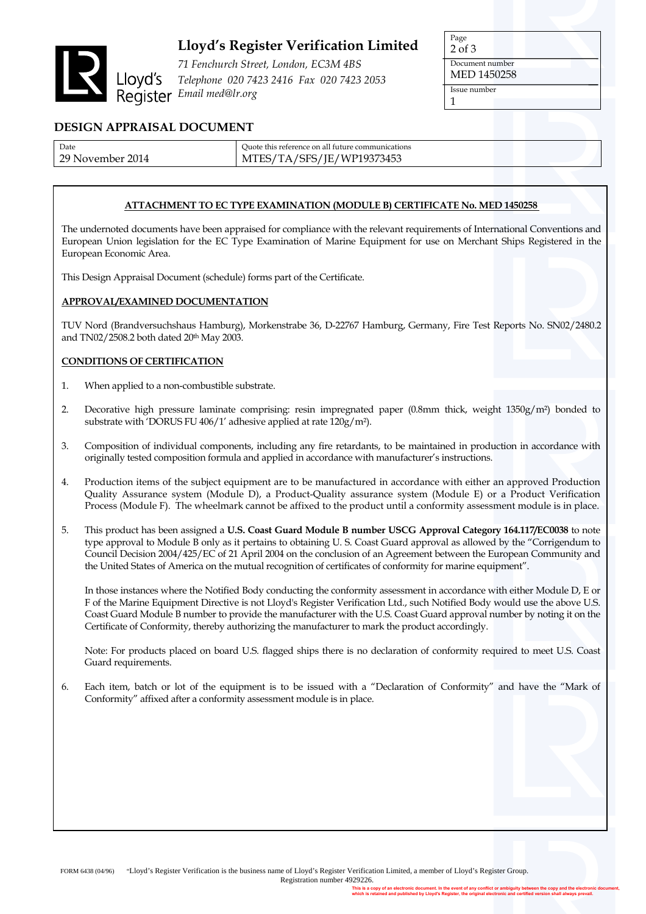

## **Lloyd's Register Verification Limited**

*71 Fenchurch Street, London, EC3M 4BS Telephone 020 7423 2416 Fax 020 7423 2053 Email med@lr.org* 

Page 2 of 3 Document number

MED 1450258

Issue number 1

### **DESIGN APPRAISAL DOCUMENT**

| Date                     | Quote this reference on all future communications |
|--------------------------|---------------------------------------------------|
| 2014<br>29 ነ<br>November | 5/TA/SFS/JE/WP19373453<br>MTES/T                  |

### **ATTACHMENT TO EC TYPE EXAMINATION (MODULE B) CERTIFICATE No. MED 1450258**

The undernoted documents have been appraised for compliance with the relevant requirements of International Conventions and European Union legislation for the EC Type Examination of Marine Equipment for use on Merchant Ships Registered in the European Economic Area.

This Design Appraisal Document (schedule) forms part of the Certificate.

#### **APPROVAL/EXAMINED DOCUMENTATION**

TUV Nord (Brandversuchshaus Hamburg), Morkenstrabe 36, D-22767 Hamburg, Germany, Fire Test Reports No. SN02/2480.2 and TN02/2508.2 both dated 20<sup>th</sup> May 2003.

#### **CONDITIONS OF CERTIFICATION**

- 1. When applied to a non-combustible substrate.
- 2. Decorative high pressure laminate comprising: resin impregnated paper (0.8mm thick, weight 1350g/m²) bonded to substrate with 'DORUS FU 406/1' adhesive applied at rate 120g/m²).
- 3. Composition of individual components, including any fire retardants, to be maintained in production in accordance with originally tested composition formula and applied in accordance with manufacturer's instructions.
- 4. Production items of the subject equipment are to be manufactured in accordance with either an approved Production Quality Assurance system (Module D), a Product-Quality assurance system (Module E) or a Product Verification Process (Module F). The wheelmark cannot be affixed to the product until a conformity assessment module is in place.
- 5. This product has been assigned a **U.S. Coast Guard Module B number USCG Approval Category 164.117/EC0038** to note type approval to Module B only as it pertains to obtaining U. S. Coast Guard approval as allowed by the "Corrigendum to Council Decision 2004/425/EC of 21 April 2004 on the conclusion of an Agreement between the European Community and the United States of America on the mutual recognition of certificates of conformity for marine equipment".

In those instances where the Notified Body conducting the conformity assessment in accordance with either Module D, E or F of the Marine Equipment Directive is not Lloyd's Register Verification Ltd., such Notified Body would use the above U.S. Coast Guard Module B number to provide the manufacturer with the U.S. Coast Guard approval number by noting it on the Certificate of Conformity, thereby authorizing the manufacturer to mark the product accordingly.

Note: For products placed on board U.S. flagged ships there is no declaration of conformity required to meet U.S. Coast Guard requirements.

6. Each item, batch or lot of the equipment is to be issued with a "Declaration of Conformity" and have the "Mark of Conformity" affixed after a conformity assessment module is in place.